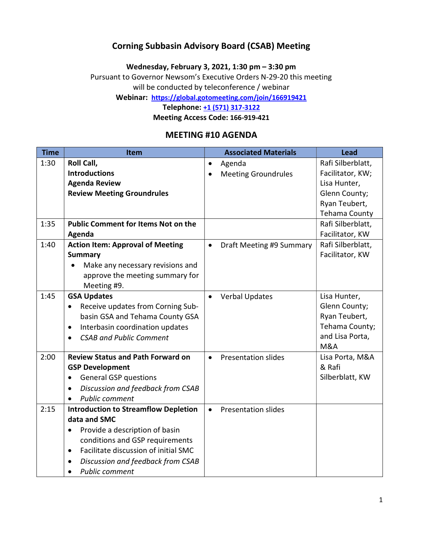### Corning Subbasin Advisory Board (CSAB) Meeting

Wednesday, February 3, 2021, 1:30 pm – 3:30 pm

Pursuant to Governor Newsom's Executive Orders N-29-20 this meeting will be conducted by teleconference / webinar

Webinar: https://global.gotomeeting.com/join/166919421

Telephone: +1 (571) 317-3122

Meeting Access Code: 166-919-421

### MEETING #10 AGENDA

| <b>Time</b> | Item                                              | <b>Associated Materials</b>             | <b>Lead</b>       |
|-------------|---------------------------------------------------|-----------------------------------------|-------------------|
| 1:30        | Roll Call,                                        | Agenda<br>$\bullet$                     | Rafi Silberblatt, |
|             | <b>Introductions</b>                              | <b>Meeting Groundrules</b><br>$\bullet$ | Facilitator, KW;  |
|             | <b>Agenda Review</b>                              |                                         | Lisa Hunter,      |
|             | <b>Review Meeting Groundrules</b>                 |                                         | Glenn County;     |
|             |                                                   |                                         | Ryan Teubert,     |
|             |                                                   |                                         | Tehama County     |
| 1:35        | <b>Public Comment for Items Not on the</b>        |                                         | Rafi Silberblatt, |
|             | Agenda                                            |                                         | Facilitator, KW   |
| 1:40        | <b>Action Item: Approval of Meeting</b>           | Draft Meeting #9 Summary<br>$\bullet$   | Rafi Silberblatt, |
|             | <b>Summary</b>                                    |                                         | Facilitator, KW   |
|             | Make any necessary revisions and                  |                                         |                   |
|             | approve the meeting summary for                   |                                         |                   |
|             | Meeting #9.                                       |                                         |                   |
| 1:45        | <b>GSA Updates</b>                                | <b>Verbal Updates</b><br>$\bullet$      | Lisa Hunter,      |
|             | Receive updates from Corning Sub-<br>$\bullet$    |                                         | Glenn County;     |
|             | basin GSA and Tehama County GSA                   |                                         | Ryan Teubert,     |
|             | Interbasin coordination updates<br>$\bullet$      |                                         | Tehama County;    |
|             | <b>CSAB and Public Comment</b><br>$\bullet$       |                                         | and Lisa Porta,   |
|             |                                                   |                                         | <b>M&amp;A</b>    |
| 2:00        | <b>Review Status and Path Forward on</b>          | <b>Presentation slides</b><br>$\bullet$ | Lisa Porta, M&A   |
|             | <b>GSP Development</b>                            |                                         | & Rafi            |
|             | <b>General GSP questions</b><br>$\bullet$         |                                         | Silberblatt, KW   |
|             | Discussion and feedback from CSAB<br>$\bullet$    |                                         |                   |
|             | <b>Public comment</b>                             |                                         |                   |
| 2:15        | <b>Introduction to Streamflow Depletion</b>       | <b>Presentation slides</b>              |                   |
|             | data and SMC                                      |                                         |                   |
|             | Provide a description of basin                    |                                         |                   |
|             | conditions and GSP requirements                   |                                         |                   |
|             | Facilitate discussion of initial SMC<br>$\bullet$ |                                         |                   |
|             | Discussion and feedback from CSAB<br>$\bullet$    |                                         |                   |
|             | <b>Public comment</b>                             |                                         |                   |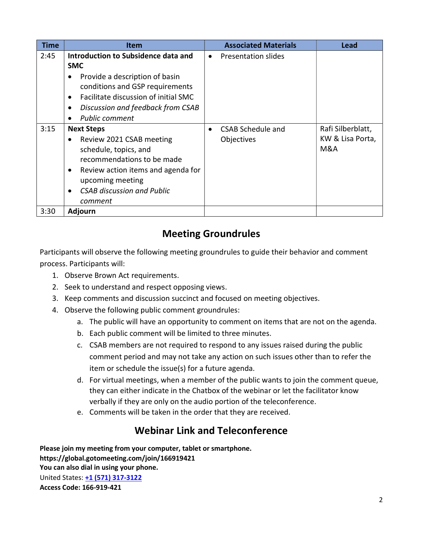| <b>Time</b> | Item                                                                                                                                                                                                                                          | <b>Associated Materials</b>                  | <b>Lead</b>                                  |
|-------------|-----------------------------------------------------------------------------------------------------------------------------------------------------------------------------------------------------------------------------------------------|----------------------------------------------|----------------------------------------------|
| 2:45        | Introduction to Subsidence data and<br><b>SMC</b><br>Provide a description of basin<br>conditions and GSP requirements<br>Facilitate discussion of initial SMC<br>$\bullet$<br>Discussion and feedback from CSAB<br><b>Public comment</b>     | Presentation slides<br>$\bullet$             |                                              |
| 3:15        | <b>Next Steps</b><br>Review 2021 CSAB meeting<br>$\bullet$<br>schedule, topics, and<br>recommendations to be made<br>Review action items and agenda for<br>٠<br>upcoming meeting<br><b>CSAB discussion and Public</b><br>$\bullet$<br>comment | CSAB Schedule and<br>$\bullet$<br>Objectives | Rafi Silberblatt,<br>KW & Lisa Porta,<br>M&A |
| 3:30        | <b>Adjourn</b>                                                                                                                                                                                                                                |                                              |                                              |

# Meeting Groundrules

Participants will observe the following meeting groundrules to guide their behavior and comment process. Participants will:

- 1. Observe Brown Act requirements.
- 2. Seek to understand and respect opposing views.
- 3. Keep comments and discussion succinct and focused on meeting objectives.
- 4. Observe the following public comment groundrules:
	- a. The public will have an opportunity to comment on items that are not on the agenda.
	- b. Each public comment will be limited to three minutes.
	- c. CSAB members are not required to respond to any issues raised during the public comment period and may not take any action on such issues other than to refer the item or schedule the issue(s) for a future agenda.
	- d. For virtual meetings, when a member of the public wants to join the comment queue, they can either indicate in the Chatbox of the webinar or let the facilitator know verbally if they are only on the audio portion of the teleconference.
	- e. Comments will be taken in the order that they are received.

# Webinar Link and Teleconference

Please join my meeting from your computer, tablet or smartphone. https://global.gotomeeting.com/join/166919421 You can also dial in using your phone. United States: +1 (571) 317-3122 Access Code: 166-919-421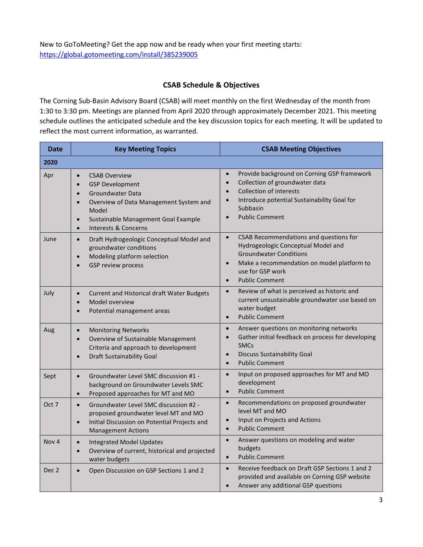New to GoToMeeting? Get the app now and be ready when your first meeting starts: https://global.gotomeeting.com/install/385239005

#### CSAB Schedule & Objectives

The Corning Sub-Basin Advisory Board (CSAB) will meet monthly on the first Wednesday of the month from 1:30 to 3:30 pm. Meetings are planned from April 2020 through approximately December 2021. This meeting schedule outlines the anticipated schedule and the key discussion topics for each meeting. It will be updated to reflect the most current information, as warranted.

| <b>Date</b>      | <b>Key Meeting Topics</b>                                                                                                                                                                                                                                          | <b>CSAB Meeting Objectives</b>                                                                                                                                                                                                                                       |
|------------------|--------------------------------------------------------------------------------------------------------------------------------------------------------------------------------------------------------------------------------------------------------------------|----------------------------------------------------------------------------------------------------------------------------------------------------------------------------------------------------------------------------------------------------------------------|
| 2020             |                                                                                                                                                                                                                                                                    |                                                                                                                                                                                                                                                                      |
| Apr              | <b>CSAB Overview</b><br>$\bullet$<br><b>GSP Development</b><br>$\bullet$<br>Groundwater Data<br>$\bullet$<br>Overview of Data Management System and<br>$\bullet$<br>Model<br>Sustainable Management Goal Example<br>$\bullet$<br>Interests & Concerns<br>$\bullet$ | Provide background on Corning GSP framework<br>$\bullet$<br>Collection of groundwater data<br>$\bullet$<br><b>Collection of interests</b><br>$\bullet$<br>Introduce potential Sustainability Goal for<br>$\bullet$<br>Subbasin<br><b>Public Comment</b><br>$\bullet$ |
| June             | Draft Hydrogeologic Conceptual Model and<br>$\bullet$<br>groundwater conditions<br>Modeling platform selection<br>$\bullet$<br><b>GSP review process</b>                                                                                                           | CSAB Recommendations and questions for<br>$\bullet$<br>Hydrogeologic Conceptual Model and<br><b>Groundwater Conditions</b><br>Make a recommendation on model platform to<br>$\bullet$<br>use for GSP work<br><b>Public Comment</b><br>$\bullet$                      |
| July             | Current and Historical draft Water Budgets<br>$\bullet$<br>Model overview<br>$\bullet$<br>Potential management areas                                                                                                                                               | Review of what is perceived as historic and<br>$\bullet$<br>current unsustainable groundwater use based on<br>water budget<br><b>Public Comment</b><br>$\bullet$                                                                                                     |
| Aug              | <b>Monitoring Networks</b><br>$\bullet$<br>Overview of Sustainable Management<br>$\bullet$<br>Criteria and approach to development<br>Draft Sustainability Goal<br>$\bullet$                                                                                       | Answer questions on monitoring networks<br>$\bullet$<br>Gather initial feedback on process for developing<br>$\bullet$<br><b>SMCs</b><br><b>Discuss Sustainability Goal</b><br>$\bullet$<br><b>Public Comment</b><br>$\bullet$                                       |
| Sept             | Groundwater Level SMC discussion #1 -<br>$\bullet$<br>background on Groundwater Levels SMC<br>Proposed approaches for MT and MO<br>$\bullet$                                                                                                                       | Input on proposed approaches for MT and MO<br>$\bullet$<br>development<br><b>Public Comment</b><br>$\bullet$                                                                                                                                                         |
| Oct 7            | Groundwater Level SMC discussion #2 -<br>$\bullet$<br>proposed groundwater level MT and MO<br>Initial Discussion on Potential Projects and<br>$\bullet$<br><b>Management Actions</b>                                                                               | Recommendations on proposed groundwater<br>$\bullet$<br>level MT and MO<br>Input on Projects and Actions<br>$\bullet$<br><b>Public Comment</b><br>$\bullet$                                                                                                          |
| Nov <sub>4</sub> | <b>Integrated Model Updates</b><br>$\bullet$<br>Overview of current, historical and projected<br>$\bullet$<br>water budgets                                                                                                                                        | $\bullet$<br>Answer questions on modeling and water<br>budgets<br><b>Public Comment</b><br>$\bullet$                                                                                                                                                                 |
| Dec <sub>2</sub> | Open Discussion on GSP Sections 1 and 2<br>$\bullet$                                                                                                                                                                                                               | Receive feedback on Draft GSP Sections 1 and 2<br>$\bullet$<br>provided and available on Corning GSP website<br>Answer any additional GSP questions<br>$\bullet$                                                                                                     |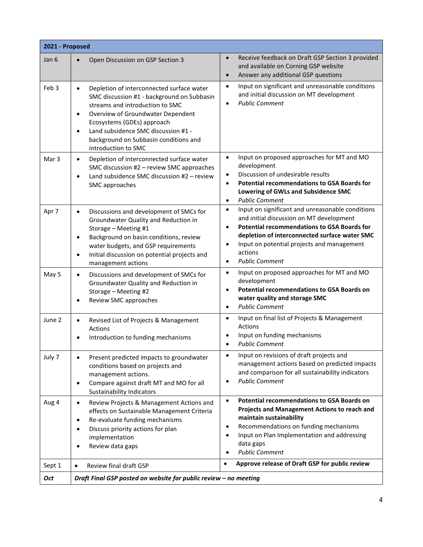|                  | 2021 - Proposed                                                                                                                                                                                                                                                                                                                             |                                                                                                                                                                                                                                                                                                                                           |  |  |  |
|------------------|---------------------------------------------------------------------------------------------------------------------------------------------------------------------------------------------------------------------------------------------------------------------------------------------------------------------------------------------|-------------------------------------------------------------------------------------------------------------------------------------------------------------------------------------------------------------------------------------------------------------------------------------------------------------------------------------------|--|--|--|
| Jan 6            | Open Discussion on GSP Section 3<br>$\bullet$                                                                                                                                                                                                                                                                                               | Receive feedback on Draft GSP Section 3 provided<br>$\bullet$<br>and available on Corning GSP website<br>Answer any additional GSP questions<br>$\bullet$                                                                                                                                                                                 |  |  |  |
| Feb <sub>3</sub> | Depletion of interconnected surface water<br>$\bullet$<br>SMC discussion #1 - background on Subbasin<br>streams and introduction to SMC<br>Overview of Groundwater Dependent<br>$\bullet$<br>Ecosystems (GDEs) approach<br>Land subsidence SMC discussion #1 -<br>$\bullet$<br>background on Subbasin conditions and<br>introduction to SMC | Input on significant and unreasonable conditions<br>$\bullet$<br>and initial discussion on MT development<br><b>Public Comment</b><br>$\bullet$                                                                                                                                                                                           |  |  |  |
| Mar <sub>3</sub> | Depletion of interconnected surface water<br>$\bullet$<br>SMC discussion #2 - review SMC approaches<br>Land subsidence SMC discussion #2 - review<br>$\bullet$<br>SMC approaches                                                                                                                                                            | Input on proposed approaches for MT and MO<br>$\bullet$<br>development<br>Discussion of undesirable results<br>$\bullet$<br><b>Potential recommendations to GSA Boards for</b><br>$\bullet$<br>Lowering of GWLs and Subsidence SMC<br><b>Public Comment</b><br>$\bullet$                                                                  |  |  |  |
| Apr 7            | Discussions and development of SMCs for<br>$\bullet$<br>Groundwater Quality and Reduction in<br>Storage - Meeting #1<br>Background on basin conditions, review<br>$\bullet$<br>water budgets, and GSP requirements<br>Initial discussion on potential projects and<br>$\bullet$<br>management actions                                       | Input on significant and unreasonable conditions<br>$\bullet$<br>and initial discussion on MT development<br><b>Potential recommendations to GSA Boards for</b><br>$\bullet$<br>depletion of interconnected surface water SMC<br>Input on potential projects and management<br>$\bullet$<br>actions<br><b>Public Comment</b><br>$\bullet$ |  |  |  |
| May 5            | Discussions and development of SMCs for<br>$\bullet$<br>Groundwater Quality and Reduction in<br>Storage - Meeting #2<br>Review SMC approaches<br>$\bullet$                                                                                                                                                                                  | Input on proposed approaches for MT and MO<br>$\bullet$<br>development<br><b>Potential recommendations to GSA Boards on</b><br>$\bullet$<br>water quality and storage SMC<br><b>Public Comment</b><br>$\bullet$                                                                                                                           |  |  |  |
| June 2           | Revised List of Projects & Management<br>$\bullet$<br>Actions<br>Introduction to funding mechanisms<br>$\bullet$                                                                                                                                                                                                                            | Input on final list of Projects & Management<br>$\bullet$<br><b>Actions</b><br>Input on funding mechanisms<br><b>Public Comment</b>                                                                                                                                                                                                       |  |  |  |
| July 7           | Present predicted impacts to groundwater<br>$\bullet$<br>conditions based on projects and<br>management actions.<br>Compare against draft MT and MO for all<br>$\bullet$<br><b>Sustainability Indicators</b>                                                                                                                                | Input on revisions of draft projects and<br>$\bullet$<br>management actions based on predicted impacts<br>and comparison for all sustainability indicators<br><b>Public Comment</b><br>$\bullet$                                                                                                                                          |  |  |  |
| Aug 4            | Review Projects & Management Actions and<br>$\bullet$<br>effects on Sustainable Management Criteria<br>Re-evaluate funding mechanisms<br>$\bullet$<br>Discuss priority actions for plan<br>$\bullet$<br>implementation<br>Review data gaps<br>$\bullet$                                                                                     | <b>Potential recommendations to GSA Boards on</b><br>$\bullet$<br>Projects and Management Actions to reach and<br>maintain sustainability<br>Recommendations on funding mechanisms<br>$\bullet$<br>Input on Plan Implementation and addressing<br>$\bullet$<br>data gaps<br><b>Public Comment</b><br>$\bullet$                            |  |  |  |
| Sept 1           | Review final draft GSP<br>$\bullet$                                                                                                                                                                                                                                                                                                         | Approve release of Draft GSP for public review<br>$\bullet$                                                                                                                                                                                                                                                                               |  |  |  |
| <b>Oct</b>       | Draft Final GSP posted on website for public review - no meeting                                                                                                                                                                                                                                                                            |                                                                                                                                                                                                                                                                                                                                           |  |  |  |